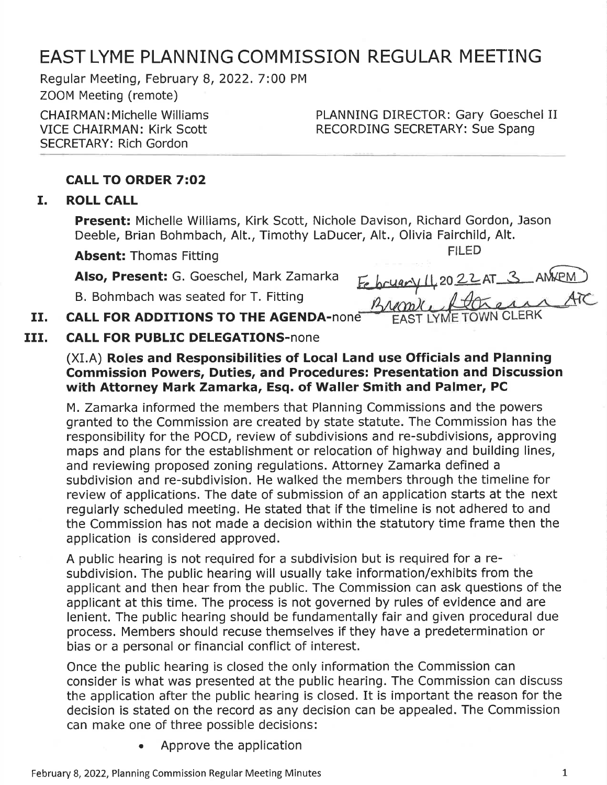## EAST LYME PLANNING COMMISSION REGULAR MEETING

Regular Meeting, February 8,2022.7:00 PM ZOOM Meeting (remote)

CHAIRMAN : Michelle Williams VICE CHAIRMAN: Kirk Scott SECRETARY: Rich Gordon

PLANNING DIRECTOR: Gary Goeschel II RECORDING SECRETARY: Sue Spang

### CALL TO ORDER 7:O2

### I. ROLL CALL

Present: Michelle Williams, Kirk Scott, Nichole Davison, Richard Gordon, Jason Deeble, Brian Bohmbach, Alt., Timothy LaDucer, Alt., Olivia Fairchild, Alt.

Absent: Thomas Fitting The Thomas Fitting The Thomas Fitting The Theorem 2012

Also, Present: G. Goeschel, Mark Zamarka

B. Bohmbach was seated for T. Fitting

| February 142022AT 3 AMXPM |  |  |
|---------------------------|--|--|
| Browle Lacan ATC          |  |  |
|                           |  |  |

#### CALL FOR ADDITIONS TO THE AGENDA-none EAST LYME TOWN II.

#### CALL FOR PUBLIC DELEGATIONS-none III.

### (XI.A) Roles and Responsibilities of Local Land use Officials and Planning Commission Powers, Duties, and Procedures: Presentation and Discussion with Attorney Mark Zamarka, Esq. of Waller Smith and Palmer, PC

M. Zamarka informed the members that Planning Commissions and the powers granted to the Commission are created by state statute. The Commission has the responsibility for the POCD, review of subdivisions and re-subdivisions, approving maps and plans for the establishment or relocation of highway and building lines, and reviewing proposed zoning regulations. Attorney Zamarka defined <sup>a</sup> subdivision and re-subdivision. He walked the members through the timeline for review of applications. The date of submission of an application starts at the next regularly scheduled meeting. He stated that if the timeline is not adhered to and the Commission has not made a decision within the statutory time frame then the application is considered approved.

A public hearing is not required for a subdivision but is required for a resubdivision. The public hearing will usually take information/exhibits from the applicant and then hear from the public. The Commission can ask questions of the applicant at this time. The process is not governed by rules of evidence and are lenient. The public hearing should be fundamentally fair and given procedural due process. Members should recuse themselves if they have a predetermination or bias or a personal or financial conflict of interest.

Once the public hearing is closed the only information the Commission can consider is what was presented at the public hearing. The Commission can discuss the application after the public hearing is closed. It is important the reason for the decision is stated on the record as any decision can be appealed. The Commission can make one of three possible decisions:

. Approve the application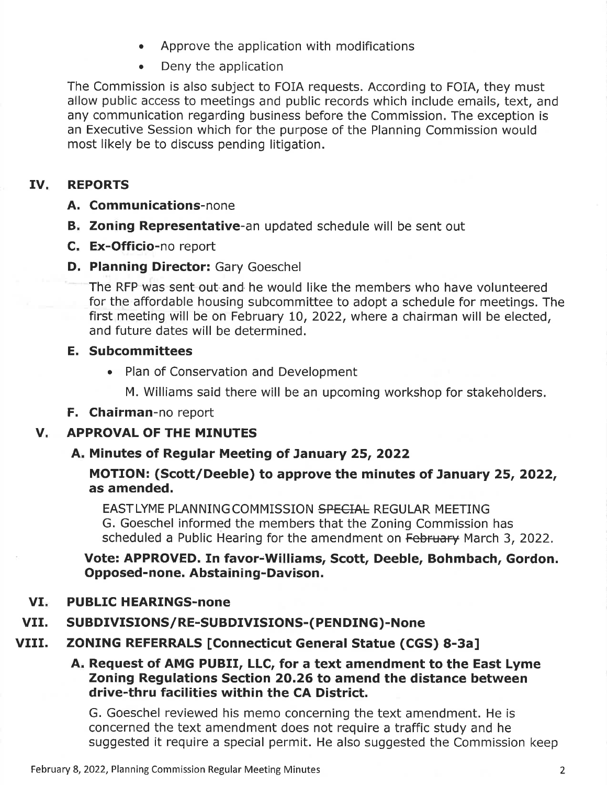- . Approve the application with modifications
- Deny the application

The Commission is also subject to FOIA requests. According to FOIA, they must allow public access to meetings and public records which include emails, text, and any communication regarding business before the Commission. The exception is an Executive Session which for the purpose of the Planning Commission would most likely be to discuss pending litigation.

#### IV. REPORTS

### A. Communications-none

- B. Zoning Representative-an updated schedule will be sent out
- C. Ex-Officio-no report
- **D. Planning Director: Gary Goeschel**

The RFP was sent out and he would like the members who have volunteered for the affordable housing subcommittee to adopt a schedule for meetings. The first meeting will be on February 10, 2022, where a chairman will be elected, and future dates will be determined.

### E. Subcommittees

• Plan of Conservation and Development

M. Williams said there will be an upcoming workshop for stakeholders.

### F. Chairman-no report

#### $V_{\star}$ APPROVAL OF THE MINUTES

### A. Minutes of Regular Meeting of January 25, 2022

### MOTION: (Scott/Deeble) to approve the minutes of January 25, 2022, as amended.

EASTLYME PLANNING COMMISSION SPECIAL REGULAR MEETING G. Goeschel informed the members that the Zoning Commission has scheduled a Public Hearing for the amendment on February March 3, 2022.

Vote: APPROVED. In favor-Williams, Scott, Deeble, Bohmbach, Gordon. Opposed-none. Abstaining-Davison.

#### VI. PUBLIC HEARINGS-none

#### VII. SUBDIVISIONS/RE-SUBDIVISIONS-(PENDING)-None

#### VIII. ZONING REFERRALS [Connecticut General Statue (CGS) 8-3a]

### A. Request of AMG PUBII, LLC, for a text amendment to the East Lyme Zoning Regulations Section 2O.26 to amend the distance between drive-thru facilities within the CA District.

G. Goeschel reviewed his memo concerning the text amendment. He is concerned the text amendment does not require a traffic study and he suggested it require a special permit. He also suggested the Commission keep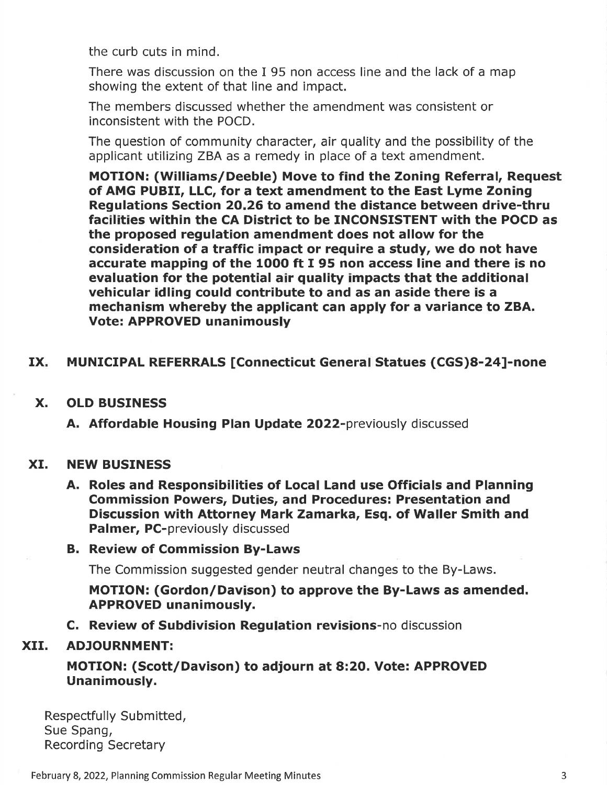the curb cuts in mind.

There was discussion on the I 95 non access line and the lack of a map showing the extent of that line and impact.

The members discussed whether the amendment was consistent or inconsistent with the POCD.

The question of community character, air quality and the possibility of the applicant utilizing ZBA as a remedy in place of a text amendment.

MOTION: (Williams/Deeble) Move to find the Zoning Referral, Request of AMG PUBII, LLC, for a text amendment to the East Lyme Zoning Regulations Section 20.26 to amend the distance between drive-thru facilities within the CA District to be INCONSISTENT with the POCD as the proposed regulation amendment does not allow for the consideration of a traffic impact or require a study, we do not have accurate mapping of the 1OOO ft I 95 non access line and there is no evaluation for the potential air quality impacts that the additional vehicular idling could contribute to and as an aside there is a mechanism whereby the applicant can apply for a variance to ZBA. Vote: APPROVED unanimously

## IX. MUNICIPAL REFERRALS [Connecticut General Statues (CGS)8-24]-none

### X. OLD BUSINESS

A. Affordable Housing Plan Update 2022-previously discussed

#### xr. NEW BUSINESS

A. Roles and Responsibilities of Local Land use Officials and Planning Commission Powers, Duties, and Procedures: Presentation and Discussion with Attorney Mark Zamarka, Esq. of Waller Smith and Palmer, PC-previously discussed

### B. Review of Commission By-Laws

The Commission suggested gender neutral changes to the By-Laws.

MOTION: (Gordon/Davison) to approve the By-Laws as amended. APPROVED unanimously.

C. Review of Subdivision Regulation revisions-no discussion

#### XII. ADJOURNMENT:

## MOTION: (Scott/Davison) to adjourn at 8:2O. Vote: APPROVED Unanimously.

Respectfully Submitted, Sue Spang, Recording Secretary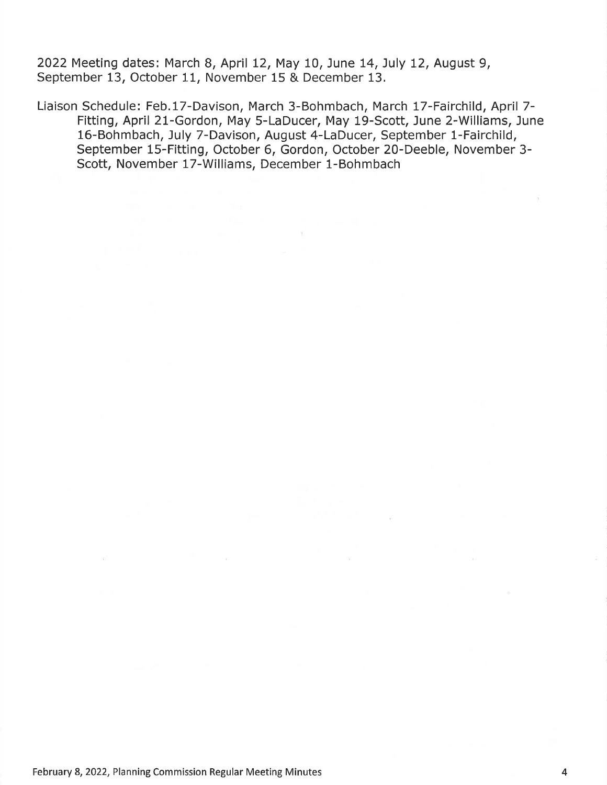2022 Meeting dates: March 8, April 12, May 10, June 14, July 12, August 9, September 13, October 11, November 15 & December 13.

Liaison Schedule: Feb.17-Davison, March 3-Bohmbach, March l7-Fairchild, April 7- Fitting, April 2l-Gordon, May 5-LaDucer, May 19-Scott, June 2-Williams, June 16-Bohmbach, July 7-Davison, August 4-LaDucer, September 1-Fairchild, September 15-Fitting, October 6, Gordon, October 20-Deeble, November 3- Scott, November 17-Williams, December 1-Bohmbach

 $\alpha$  .

 $\mathcal{W}$ 

 $\sim 10^{-11}$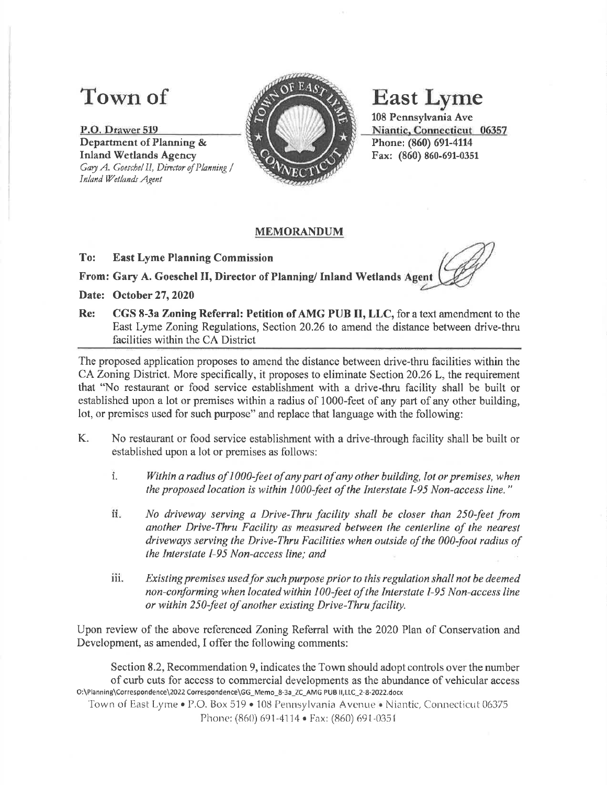# Town of

P.0, Qrawer <sup>519</sup> Department of Planning & Inland Wetlands Agency Gary A. Goeschel II, Director of Planning / Inland Wetlands Agent



# **East Lyme**

108 Pennsylvania Ave Niantic, Connecticut 06357 Phone: (860) 691-4114 Fax: (860) 860-691-0351

### MEMORANDUM

To: East Lyme Planning Commission

From: Gary A. Goeschel II, Director of Planning/ Inland Wetlands Agent

Date: October 27, 2020

Re: CGS 8-3a Zoning Referral: Petition of AMG PUB II, LLC, for a text amendment to the East Lyme Zoning Regulations, Section 20.26 to amend the distance between drive-thru facilities within the CA District

The proposed application proposes to amend the distance between drive-thru facilities within the CA Zoning District. More specifically, it proposes to eliminate Section 20.26L, the requirement that "No restaurant or food service establishment with a drive-thru facility shall be built or established upon a lot or premises within a radius of 1000-feet of any part of any other building, lot, or premises used for such purpose" and replace that language with the following:

- K. No restaurant or food service establishment with a drive-through facility shall be built or established upon a lot or premises as follows:
	- i. Within a radius of 1000-feet of any part of any other building, lot or premises, when the propased location is within 1000-feet of the Interstale I-95 Non-access line."
	- No driveway serving a Drive-Thru facility shall be closer than 250-feet from another Drive-Thru Focility as measured between the centerline of the nearesl driveways serving the Drive-Thru Facilities when outside of the 000-foot radius of the Interslate I-95 Non-access line; and  $\ddot{\mathbf{h}}$ .
	- iii. Existing premises used for such purpose prior to this regulation shall not be deemed non-conforming when located within 100-feet of the Interstate I-95 Non-access line or within 250-feet of another existing Drive-Thru facility.

Upon review of the above refercnced Zoning Refenal with the 2020 Plan of Conservation and Development, as amended, I offer the following comments:

Section 8.2, Recommendation 9, indicates the Town should adopt controls over the number of curb cuts for accsss to comrnercial developments as the abundance of vehicular access O:\Planning\Correspondence\2022 Correspondence\GG\_Memo\_8-3a\_ZC\_AMG PUS ll,LLC\_2-8-2O22docx

Town of East Lyme • P.O. Box 519 • 108 Pennsylvania Avenue • Niantic, Connecticut 06375 Phone: (860) 691-4114 • Fax: (860) 691-0351